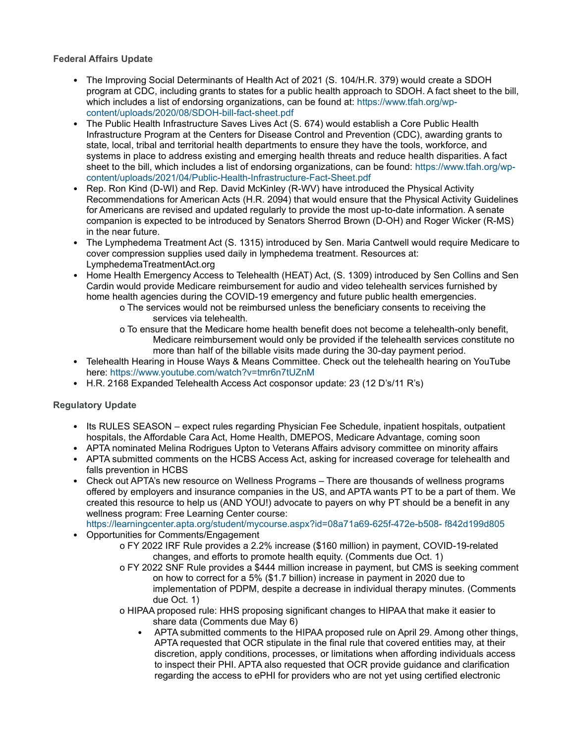## **Federal Affairs Update**

- The Improving Social Determinants of Health Act of 2021 (S. 104/H.R. 379) would create a SDOH program at CDC, including grants to states for a public health approach to SDOH. A fact sheet to the bill, which includes a list of endorsing organizations, can be found at: https://www.tfah.org/wpcontent/uploads/2020/08/SDOH-bill-fact-sheet.pdf
- The Public Health Infrastructure Saves Lives Act (S. 674) would establish a Core Public Health Infrastructure Program at the Centers for Disease Control and Prevention (CDC), awarding grants to state, local, tribal and territorial health departments to ensure they have the tools, workforce, and systems in place to address existing and emerging health threats and reduce health disparities. A fact sheet to the bill, which includes a list of endorsing organizations, can be found: https://www.tfah.org/wpcontent/uploads/2021/04/Public-Health-Infrastructure-Fact-Sheet.pdf
- Rep. Ron Kind (D-WI) and Rep. David McKinley (R-WV) have introduced the Physical Activity Recommendations for American Acts (H.R. 2094) that would ensure that the Physical Activity Guidelines for Americans are revised and updated regularly to provide the most up-to-date information. A senate companion is expected to be introduced by Senators Sherrod Brown (D-OH) and Roger Wicker (R-MS) in the near future.
- The Lymphedema Treatment Act (S. 1315) introduced by Sen. Maria Cantwell would require Medicare to cover compression supplies used daily in lymphedema treatment. Resources at: LymphedemaTreatmentAct.org
- Home Health Emergency Access to Telehealth (HEAT) Act, (S. 1309) introduced by Sen Collins and Sen Cardin would provide Medicare reimbursement for audio and video telehealth services furnished by home health agencies during the COVID-19 emergency and future public health emergencies.
	- o The services would not be reimbursed unless the beneficiary consents to receiving the services via telehealth.
	- o To ensure that the Medicare home health benefit does not become a telehealth-only benefit, Medicare reimbursement would only be provided if the telehealth services constitute no more than half of the billable visits made during the 30-day payment period.
- Telehealth Hearing in House Ways & Means Committee. Check out the telehealth hearing on YouTube here: https://www.youtube.com/watch?v=tmr6n7tUZnM
- H.R. 2168 Expanded Telehealth Access Act cosponsor update: 23 (12 D's/11 R's)

## **Regulatory Update**

- Its RULES SEASON expect rules regarding Physician Fee Schedule, inpatient hospitals, outpatient hospitals, the Affordable Cara Act, Home Health, DMEPOS, Medicare Advantage, coming soon
- APTA nominated Melina Rodrigues Upton to Veterans Affairs advisory committee on minority affairs
- APTA submitted comments on the HCBS Access Act, asking for increased coverage for telehealth and falls prevention in HCBS
- Check out APTA's new resource on Wellness Programs There are thousands of wellness programs offered by employers and insurance companies in the US, and APTA wants PT to be a part of them. We created this resource to help us (AND YOU!) advocate to payers on why PT should be a benefit in any wellness program: Free Learning Center course:

https://learningcenter.apta.org/student/mycourse.aspx?id=08a71a69-625f-472e-b508- f842d199d805 • Opportunities for Comments/Engagement

- o FY 2022 IRF Rule provides a 2.2% increase (\$160 million) in payment, COVID-19-related changes, and efforts to promote health equity. (Comments due Oct. 1)
- o FY 2022 SNF Rule provides a \$444 million increase in payment, but CMS is seeking comment on how to correct for a 5% (\$1.7 billion) increase in payment in 2020 due to implementation of PDPM, despite a decrease in individual therapy minutes. (Comments due Oct. 1)
- o HIPAA proposed rule: HHS proposing significant changes to HIPAA that make it easier to share data (Comments due May 6)
	- APTA submitted comments to the HIPAA proposed rule on April 29. Among other things, APTA requested that OCR stipulate in the final rule that covered entities may, at their discretion, apply conditions, processes, or limitations when affording individuals access to inspect their PHI. APTA also requested that OCR provide guidance and clarification regarding the access to ePHI for providers who are not yet using certified electronic